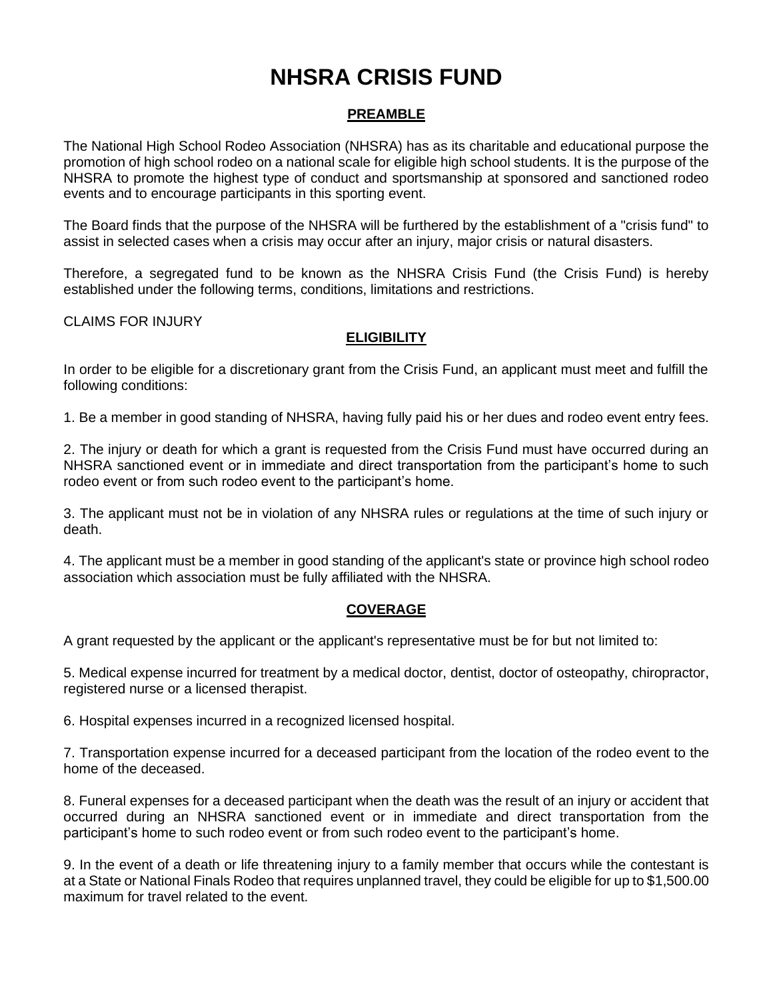# **NHSRA CRISIS FUND**

## **PREAMBLE**

The National High School Rodeo Association (NHSRA) has as its charitable and educational purpose the promotion of high school rodeo on a national scale for eligible high school students. It is the purpose of the NHSRA to promote the highest type of conduct and sportsmanship at sponsored and sanctioned rodeo events and to encourage participants in this sporting event.

The Board finds that the purpose of the NHSRA will be furthered by the establishment of a "crisis fund" to assist in selected cases when a crisis may occur after an injury, major crisis or natural disasters.

Therefore, a segregated fund to be known as the NHSRA Crisis Fund (the Crisis Fund) is hereby established under the following terms, conditions, limitations and restrictions.

CLAIMS FOR INJURY

## **ELIGIBILITY**

In order to be eligible for a discretionary grant from the Crisis Fund, an applicant must meet and fulfill the following conditions:

1. Be a member in good standing of NHSRA, having fully paid his or her dues and rodeo event entry fees.

2. The injury or death for which a grant is requested from the Crisis Fund must have occurred during an NHSRA sanctioned event or in immediate and direct transportation from the participant's home to such rodeo event or from such rodeo event to the participant's home.

3. The applicant must not be in violation of any NHSRA rules or regulations at the time of such injury or death.

4. The applicant must be a member in good standing of the applicant's state or province high school rodeo association which association must be fully affiliated with the NHSRA.

#### **COVERAGE**

A grant requested by the applicant or the applicant's representative must be for but not limited to:

5. Medical expense incurred for treatment by a medical doctor, dentist, doctor of osteopathy, chiropractor, registered nurse or a licensed therapist.

6. Hospital expenses incurred in a recognized licensed hospital.

7. Transportation expense incurred for a deceased participant from the location of the rodeo event to the home of the deceased.

8. Funeral expenses for a deceased participant when the death was the result of an injury or accident that occurred during an NHSRA sanctioned event or in immediate and direct transportation from the participant's home to such rodeo event or from such rodeo event to the participant's home.

9. In the event of a death or life threatening injury to a family member that occurs while the contestant is at a State or National Finals Rodeo that requires unplanned travel, they could be eligible for up to \$1,500.00 maximum for travel related to the event.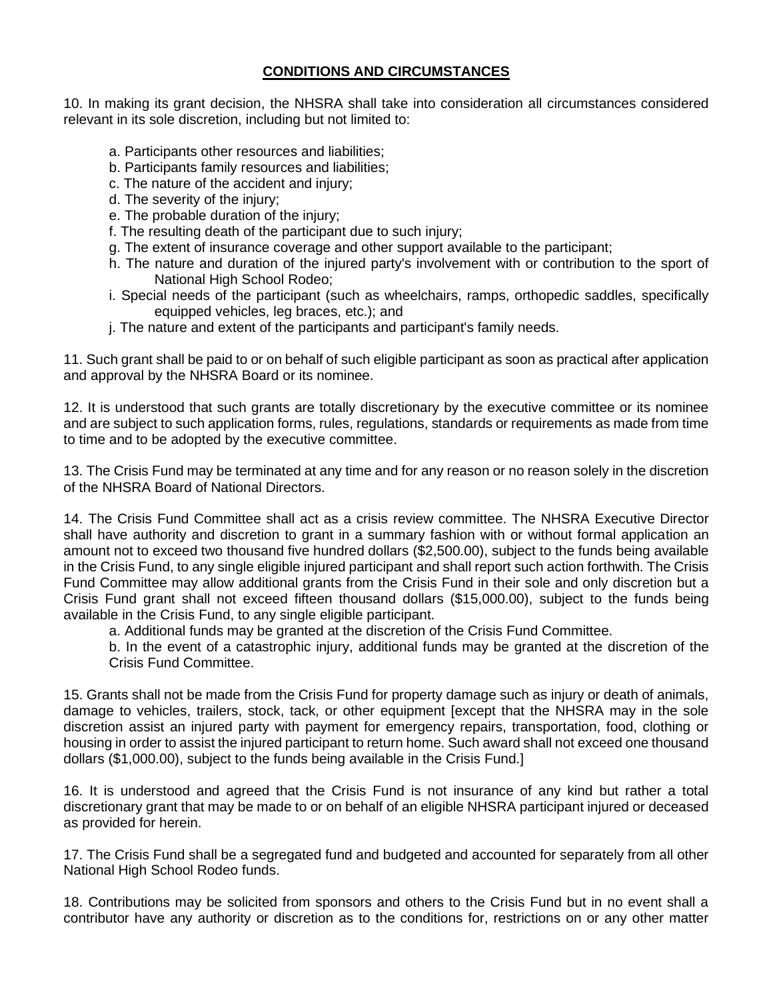## **CONDITIONS AND CIRCUMSTANCES**

10. In making its grant decision, the NHSRA shall take into consideration all circumstances considered relevant in its sole discretion, including but not limited to:

- a. Participants other resources and liabilities;
- b. Participants family resources and liabilities;
- c. The nature of the accident and injury;
- d. The severity of the injury;
- e. The probable duration of the injury;
- f. The resulting death of the participant due to such injury;
- g. The extent of insurance coverage and other support available to the participant;
- h. The nature and duration of the injured party's involvement with or contribution to the sport of National High School Rodeo:
- i. Special needs of the participant (such as wheelchairs, ramps, orthopedic saddles, specifically equipped vehicles, leg braces, etc.); and
- j. The nature and extent of the participants and participant's family needs.

11. Such grant shall be paid to or on behalf of such eligible participant as soon as practical after application and approval by the NHSRA Board or its nominee.

12. It is understood that such grants are totally discretionary by the executive committee or its nominee and are subject to such application forms, rules, regulations, standards or requirements as made from time to time and to be adopted by the executive committee.

13. The Crisis Fund may be terminated at any time and for any reason or no reason solely in the discretion of the NHSRA Board of National Directors.

14. The Crisis Fund Committee shall act as a crisis review committee. The NHSRA Executive Director shall have authority and discretion to grant in a summary fashion with or without formal application an amount not to exceed two thousand five hundred dollars (\$2,500.00), subject to the funds being available in the Crisis Fund, to any single eligible injured participant and shall report such action forthwith. The Crisis Fund Committee may allow additional grants from the Crisis Fund in their sole and only discretion but a Crisis Fund grant shall not exceed fifteen thousand dollars (\$15,000.00), subject to the funds being available in the Crisis Fund, to any single eligible participant.

a. Additional funds may be granted at the discretion of the Crisis Fund Committee.

b. In the event of a catastrophic injury, additional funds may be granted at the discretion of the Crisis Fund Committee.

15. Grants shall not be made from the Crisis Fund for property damage such as injury or death of animals, damage to vehicles, trailers, stock, tack, or other equipment [except that the NHSRA may in the sole discretion assist an injured party with payment for emergency repairs, transportation, food, clothing or housing in order to assist the injured participant to return home. Such award shall not exceed one thousand dollars (\$1,000.00), subject to the funds being available in the Crisis Fund.]

16. It is understood and agreed that the Crisis Fund is not insurance of any kind but rather a total discretionary grant that may be made to or on behalf of an eligible NHSRA participant injured or deceased as provided for herein.

17. The Crisis Fund shall be a segregated fund and budgeted and accounted for separately from all other National High School Rodeo funds.

18. Contributions may be solicited from sponsors and others to the Crisis Fund but in no event shall a contributor have any authority or discretion as to the conditions for, restrictions on or any other matter